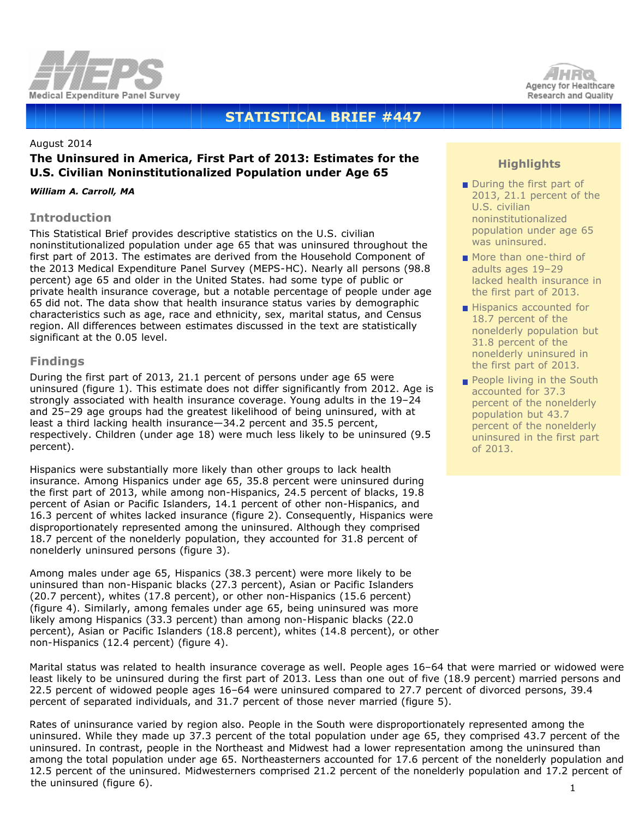



# **STATISTICAL BRIEF #447**

### August 2014

# **The Uninsured in America, First Part of 2013: Estimates for the U.S. Civilian Noninstitutionalized Population under Age 65**

#### *William A. Carroll, MA*

## **Introduction**

This Statistical Brief provides descriptive statistics on the U.S. civilian noninstitutionalized population under age 65 that was uninsured throughout the first part of 2013. The estimates are derived from the Household Component of the 2013 Medical Expenditure Panel Survey (MEPS-HC). Nearly all persons (98.8 percent) age 65 and older in the United States. had some type of public or private health insurance coverage, but a notable percentage of people under age 65 did not. The data show that health insurance status varies by demographic characteristics such as age, race and ethnicity, sex, marital status, and Census region. All differences between estimates discussed in the text are statistically significant at the 0.05 level.

## **Findings**

During the first part of 2013, 21.1 percent of persons under age 65 were uninsured (figure 1). This estimate does not differ significantly from 2012. Age is strongly associated with health insurance coverage. Young adults in the 19–24 and 25–29 age groups had the greatest likelihood of being uninsured, with at least a third lacking health insurance—34.2 percent and 35.5 percent, respectively. Children (under age 18) were much less likely to be uninsured (9.5 percent).

Hispanics were substantially more likely than other groups to lack health insurance. Among Hispanics under age 65, 35.8 percent were uninsured during the first part of 2013, while among non-Hispanics, 24.5 percent of blacks, 19.8 percent of Asian or Pacific Islanders, 14.1 percent of other non-Hispanics, and 16.3 percent of whites lacked insurance (figure 2). Consequently, Hispanics were disproportionately represented among the uninsured. Although they comprised 18.7 percent of the nonelderly population, they accounted for 31.8 percent of nonelderly uninsured persons (figure 3).

Among males under age 65, Hispanics (38.3 percent) were more likely to be uninsured than non-Hispanic blacks (27.3 percent), Asian or Pacific Islanders (20.7 percent), whites (17.8 percent), or other non-Hispanics (15.6 percent) (figure 4). Similarly, among females under age 65, being uninsured was more likely among Hispanics (33.3 percent) than among non-Hispanic blacks (22.0 percent), Asian or Pacific Islanders (18.8 percent), whites (14.8 percent), or other non-Hispanics (12.4 percent) (figure 4).

# **Highlights**

- During the first part of 2013, 21.1 percent of the U.S. civilian noninstitutionalized population under age 65 was uninsured.
- More than one-third of adults ages 19–29 lacked health insurance in the first part of 2013.
- Hispanics accounted for 18.7 percent of the nonelderly population but 31.8 percent of the nonelderly uninsured in the first part of 2013.
- People living in the South accounted for 37.3 percent of the nonelderly population but 43.7 percent of the nonelderly uninsured in the first part of 2013.

Marital status was related to health insurance coverage as well. People ages 16–64 that were married or widowed were least likely to be uninsured during the first part of 2013. Less than one out of five (18.9 percent) married persons and 22.5 percent of widowed people ages 16–64 were uninsured compared to 27.7 percent of divorced persons, 39.4 percent of separated individuals, and 31.7 percent of those never married (figure 5).

1 Rates of uninsurance varied by region also. People in the South were disproportionately represented among the uninsured. While they made up 37.3 percent of the total population under age 65, they comprised 43.7 percent of the uninsured. In contrast, people in the Northeast and Midwest had a lower representation among the uninsured than among the total population under age 65. Northeasterners accounted for 17.6 percent of the nonelderly population and 12.5 percent of the uninsured. Midwesterners comprised 21.2 percent of the nonelderly population and 17.2 percent of the uninsured (figure 6).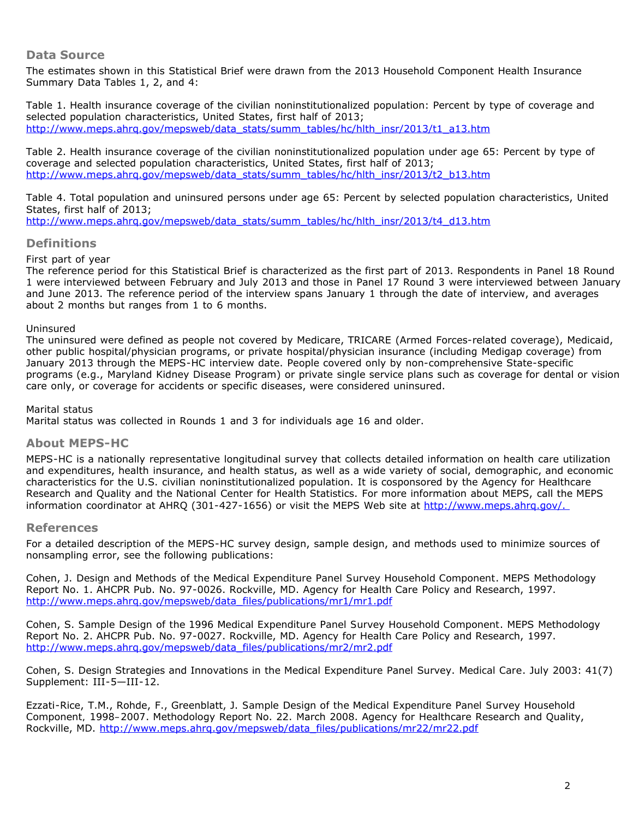# **Data Source**

The estimates shown in this Statistical Brief were drawn from the 2013 Household Component Health Insurance Summary Data Tables 1, 2, and 4:

Table 1. Health insurance coverage of the civilian noninstitutionalized population: Percent by type of coverage and selected population characteristics, United States, first half of 2013; [http://www.meps.ahrq.gov/mepsweb/data\\_stats/summ\\_tables/hc/hlth\\_insr/2013/t1\\_a13.htm](http://www.meps.ahrq.gov/mepsweb/data_stats/summ_tables/hc/hlth_insr/2013/t1_a13.htm)

Table 2. Health insurance coverage of the civilian noninstitutionalized population under age 65: Percent by type of coverage and selected population characteristics, United States, first half of 2013; [http://www.meps.ahrq.gov/mepsweb/data\\_stats/summ\\_tables/hc/hlth\\_insr/2013/t2\\_b13.htm](http://www.meps.ahrq.gov/mepsweb/data_stats/summ_tables/hc/hlth_insr/2013/t2_b13.htm)

Table 4. Total population and uninsured persons under age 65: Percent by selected population characteristics, United States, first half of 2013;

[http://www.meps.ahrq.gov/mepsweb/data\\_stats/summ\\_tables/hc/hlth\\_insr/2013/t4\\_d13.htm](http://www.meps.ahrq.gov/mepsweb/data_stats/summ_tables/hc/hlth_insr/2013/t4_d13.htm)

## **Definitions**

### *First part of year*

The reference period for this Statistical Brief is characterized as the first part of 2013. Respondents in Panel 18 Round 1 were interviewed between February and July 2013 and those in Panel 17 Round 3 were interviewed between January and June 2013. The reference period of the interview spans January 1 through the date of interview, and averages about 2 months but ranges from 1 to 6 months.

### *Uninsured*

The uninsured were defined as people not covered by Medicare, TRICARE (Armed Forces-related coverage), Medicaid, other public hospital/physician programs, or private hospital/physician insurance (including Medigap coverage) from January 2013 through the MEPS-HC interview date. People covered only by non-comprehensive State-specific programs (e.g., Maryland Kidney Disease Program) or private single service plans such as coverage for dental or vision care only, or coverage for accidents or specific diseases, were considered uninsured.

### *Marital status*

Marital status was collected in Rounds 1 and 3 for individuals age 16 and older.

# **About MEPS-HC**

MEPS-HC is a nationally representative longitudinal survey that collects detailed information on health care utilization and expenditures, health insurance, and health status, as well as a wide variety of social, demographic, and economic characteristics for the U.S. civilian noninstitutionalized population. It is cosponsored by the Agency for Healthcare Research and Quality and the National Center for Health Statistics. For more information about MEPS, call the MEPS information coordinator at AHRQ (301-427-1656) or visit the MEPS Web site at http://www.meps.ahrq.gov/.

### **References**

For a detailed description of the MEPS-HC survey design, sample design, and methods used to minimize sources of nonsampling error, see the following publications:

Cohen, J. *Design and Methods of the Medical Expenditure Panel Survey Household Component*. MEPS Methodology Report No. 1. AHCPR Pub. No. 97-0026. Rockville, MD. Agency for Health Care Policy and Research, 1997. [http://www.meps.ahrq.gov/mepsweb/data\\_files/publications/mr1/mr1.pdf](http://www.meps.ahrq.gov/mepsweb/data_files/publications/mr1/mr1.pdf)

Cohen, S. *Sample Design of the 1996 Medical Expenditure Panel Survey Household Component*. MEPS Methodology Report No. 2. AHCPR Pub. No. 97-0027. Rockville, MD. Agency for Health Care Policy and Research, 1997. [http://www.meps.ahrq.gov/mepsweb/data\\_files/publications/mr2/mr2.pdf](http://www.meps.ahrq.gov/mepsweb/data_files/publications/mr2/mr2.pdf)

Cohen, S. Design Strategies and Innovations in the Medical Expenditure Panel Survey. *Medical Care*. July 2003: 41(7) Supplement: III-5—III-12.

Ezzati-Rice, T.M., Rohde, F., Greenblatt, J. *Sample Design of the Medical Expenditure Panel Survey Household Component, 1998–2007*. Methodology Report No. 22. March 2008. Agency for Healthcare Research and Quality, Rockville, MD. [http://www.meps.ahrq.gov/mepsweb/data\\_files/publications/mr22/mr22.pdf](http://www.meps.ahrq.gov/mepsweb/data_files/publications/mr22/mr22.pdf)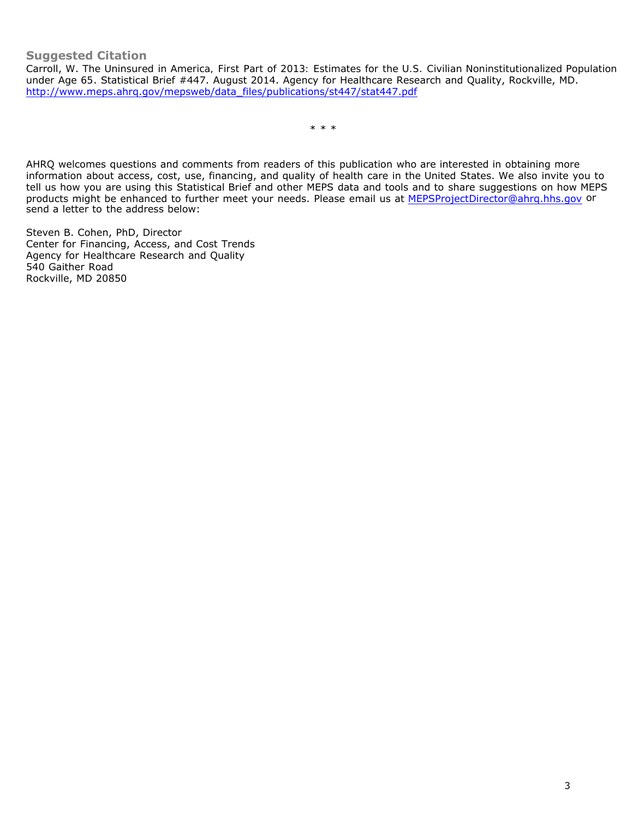Carroll, W. *The Uninsured in America, First Part of 2013: Estimates for the U.S. Civilian Noninstitutionalized Population under Age 65*. Statistical Brief #447. August 2014. Agency for Healthcare Research and Quality, Rockville, MD. [http://www.meps.ahrq.gov/mepsweb/data\\_files/publications/st447/stat447.pdf](http://www.meps.ahrq.gov/mepsweb/data_files/publications/st447/stat447.pdf)

\* \* \*

AHRQ welcomes questions and comments from readers of this publication who are interested in obtaining more information about access, cost, use, financing, and quality of health care in the United States. We also invite you to tell us how you are using this Statistical Brief and other MEPS data and tools and to share suggestions on how MEPS products might be enhanced to further meet your needs. Please email us at [MEPSProjectDirector@ahrq.hhs.gov](mailto:MEPSProjectDirector@ahrq.hhs.gov) or send a letter to the address below:

Steven B. Cohen, PhD, Director Center for Financing, Access, and Cost Trends Agency for Healthcare Research and Quality 540 Gaither Road Rockville, MD 20850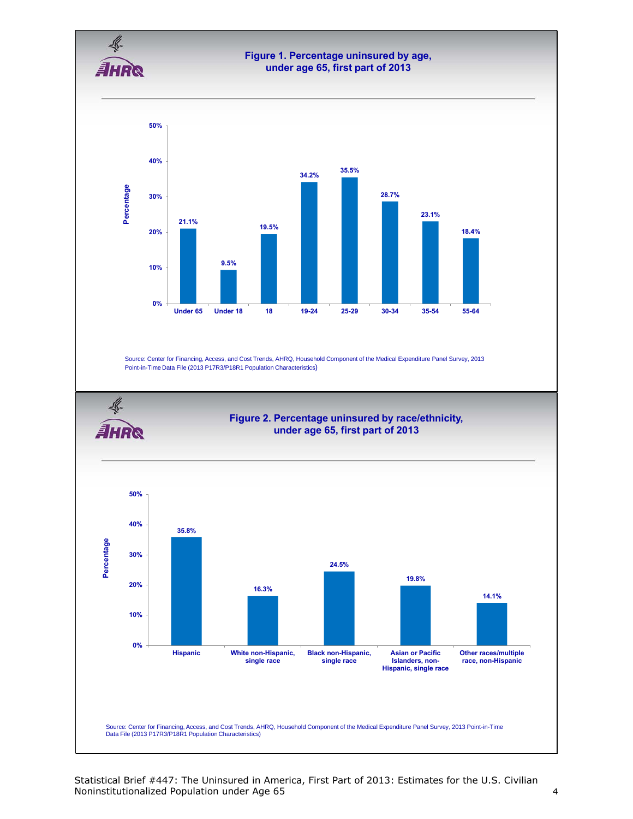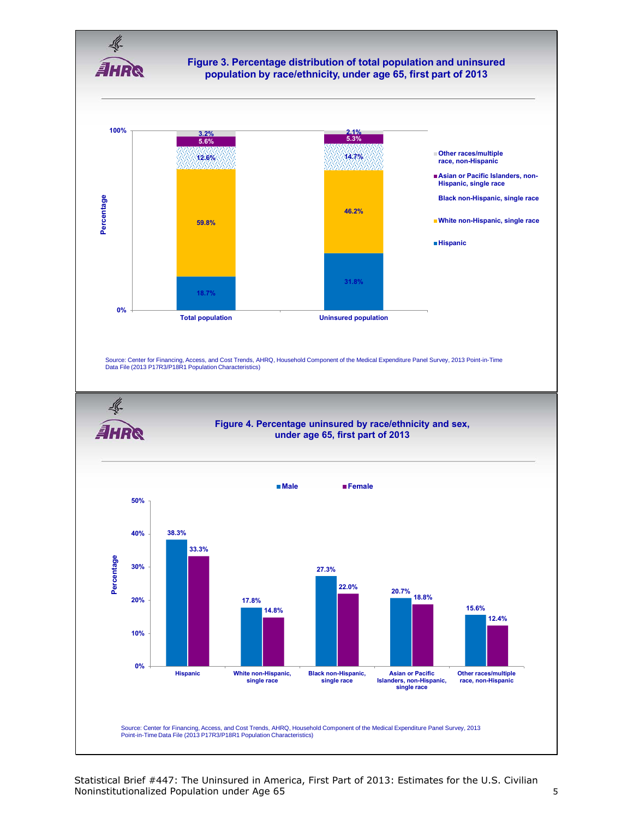